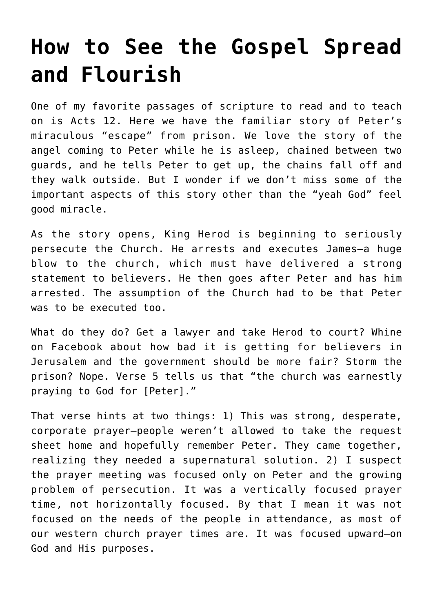## **[How to See the Gospel Spread](https://www.prayerleader.com/how-to-see-the-gospel-spread-and-flourish/) [and Flourish](https://www.prayerleader.com/how-to-see-the-gospel-spread-and-flourish/)**

One of my favorite passages of scripture to read and to teach on is Acts 12. Here we have the familiar story of Peter's miraculous "escape" from prison. We love the story of the angel coming to Peter while he is asleep, chained between two guards, and he tells Peter to get up, the chains fall off and they walk outside. But I wonder if we don't miss some of the important aspects of this story other than the "yeah God" feel good miracle.

As the story opens, King Herod is beginning to seriously persecute the Church. He arrests and executes James—a huge blow to the church, which must have delivered a strong statement to believers. He then goes after Peter and has him arrested. The assumption of the Church had to be that Peter was to be executed too.

What do they do? Get a lawyer and take Herod to court? Whine on Facebook about how bad it is getting for believers in Jerusalem and the government should be more fair? Storm the prison? Nope. Verse 5 tells us that "the church was earnestly praying to God for [Peter]."

That verse hints at two things: 1) This was strong, desperate, corporate prayer—people weren't allowed to take the request sheet home and hopefully remember Peter. They came together, realizing they needed a supernatural solution. 2) I suspect the prayer meeting was focused only on Peter and the growing problem of persecution. It was a vertically focused prayer time, not horizontally focused. By that I mean it was not focused on the needs of the people in attendance, as most of our western church prayer times are. It was focused upward–on God and His purposes.